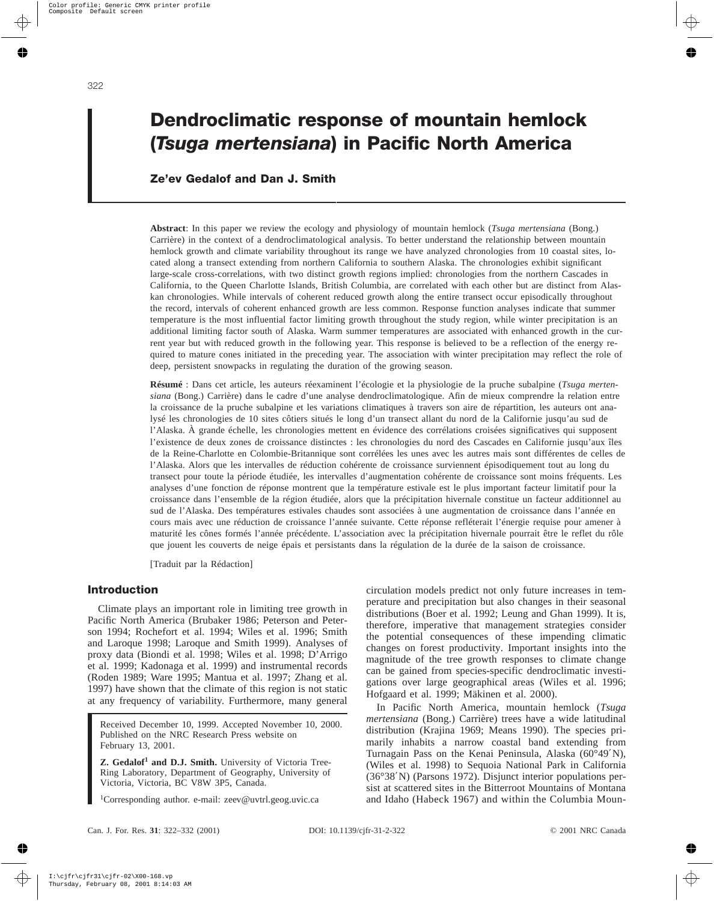# **Dendroclimatic response of mountain hemlock (***Tsuga mertensiana***) in Pacific North America**

# **Ze'ev Gedalof and Dan J. Smith**

**Abstract**: In this paper we review the ecology and physiology of mountain hemlock (*Tsuga mertensiana* (Bong.) Carrière) in the context of a dendroclimatological analysis. To better understand the relationship between mountain hemlock growth and climate variability throughout its range we have analyzed chronologies from 10 coastal sites, located along a transect extending from northern California to southern Alaska. The chronologies exhibit significant large-scale cross-correlations, with two distinct growth regions implied: chronologies from the northern Cascades in California, to the Queen Charlotte Islands, British Columbia, are correlated with each other but are distinct from Alaskan chronologies. While intervals of coherent reduced growth along the entire transect occur episodically throughout the record, intervals of coherent enhanced growth are less common. Response function analyses indicate that summer temperature is the most influential factor limiting growth throughout the study region, while winter precipitation is an additional limiting factor south of Alaska. Warm summer temperatures are associated with enhanced growth in the current year but with reduced growth in the following year. This response is believed to be a reflection of the energy required to mature cones initiated in the preceding year. The association with winter precipitation may reflect the role of deep, persistent snowpacks in regulating the duration of the growing season.

**Résumé** : Dans cet article, les auteurs réexaminent l'écologie et la physiologie de la pruche subalpine (*Tsuga mertensiana* (Bong.) Carrière) dans le cadre d'une analyse dendroclimatologique. Afin de mieux comprendre la relation entre la croissance de la pruche subalpine et les variations climatiques à travers son aire de répartition, les auteurs ont analysé les chronologies de 10 sites côtiers situés le long d'un transect allant du nord de la Californie jusqu'au sud de l'Alaska. À grande échelle, les chronologies mettent en évidence des corrélations croisées significatives qui supposent l'existence de deux zones de croissance distinctes : les chronologies du nord des Cascades en Californie jusqu'aux îles de la Reine-Charlotte en Colombie-Britannique sont corrélées les unes avec les autres mais sont différentes de celles de l'Alaska. Alors que les intervalles de réduction cohérente de croissance surviennent épisodiquement tout au long du transect pour toute la période étudiée, les intervalles d'augmentation cohérente de croissance sont moins fréquents. Les analyses d'une fonction de réponse montrent que la température estivale est le plus important facteur limitatif pour la croissance dans l'ensemble de la région étudiée, alors que la précipitation hivernale constitue un facteur additionnel au sud de l'Alaska. Des températures estivales chaudes sont associées à une augmentation de croissance dans l'année en cours mais avec une réduction de croissance l'année suivante. Cette réponse refléterait l'énergie requise pour amener à maturité les cônes formés l'année précédente. L'association avec la précipitation hivernale pourrait être le reflet du rôle que jouent les couverts de neige épais et persistants dans la régulation de la durée de la saison de croissance.

[Traduit par la Rédaction]

## **Introduction**

Climate plays an important role in limiting tree growth in Pacific North America (Brubaker 1986; Peterson and Peterson 1994; Rochefort et al. 1994; Wiles et al. 1996; Smith and Laroque 1998; Laroque and Smith 1999). Analyses of proxy data (Biondi et al. 1998; Wiles et al. 1998; D'Arrigo et al. 1999; Kadonaga et al. 1999) and instrumental records (Roden 1989; Ware 1995; Mantua et al. 1997; Zhang et al. 1997) have shown that the climate of this region is not static at any frequency of variability. Furthermore, many general

Received December 10, 1999. Accepted November 10, 2000. Published on the NRC Research Press website on February 13, 2001.

**Z. Gedalof<sup>1</sup> and D.J. Smith.** University of Victoria Tree-Ring Laboratory, Department of Geography, University of Victoria, Victoria, BC V8W 3P5, Canada.

1 Corresponding author. e-mail: zeev@uvtrl.geog.uvic.ca

circulation models predict not only future increases in temperature and precipitation but also changes in their seasonal distributions (Boer et al. 1992; Leung and Ghan 1999). It is, therefore, imperative that management strategies consider the potential consequences of these impending climatic changes on forest productivity. Important insights into the magnitude of the tree growth responses to climate change can be gained from species-specific dendroclimatic investigations over large geographical areas (Wiles et al. 1996; Hofgaard et al. 1999; Mäkinen et al. 2000).

In Pacific North America, mountain hemlock (*Tsuga mertensiana* (Bong.) Carrière) trees have a wide latitudinal distribution (Krajina 1969; Means 1990). The species primarily inhabits a narrow coastal band extending from Turnagain Pass on the Kenai Peninsula, Alaska (60°49′N), (Wiles et al. 1998) to Sequoia National Park in California (36°38′N) (Parsons 1972). Disjunct interior populations persist at scattered sites in the Bitterroot Mountains of Montana and Idaho (Habeck 1967) and within the Columbia Moun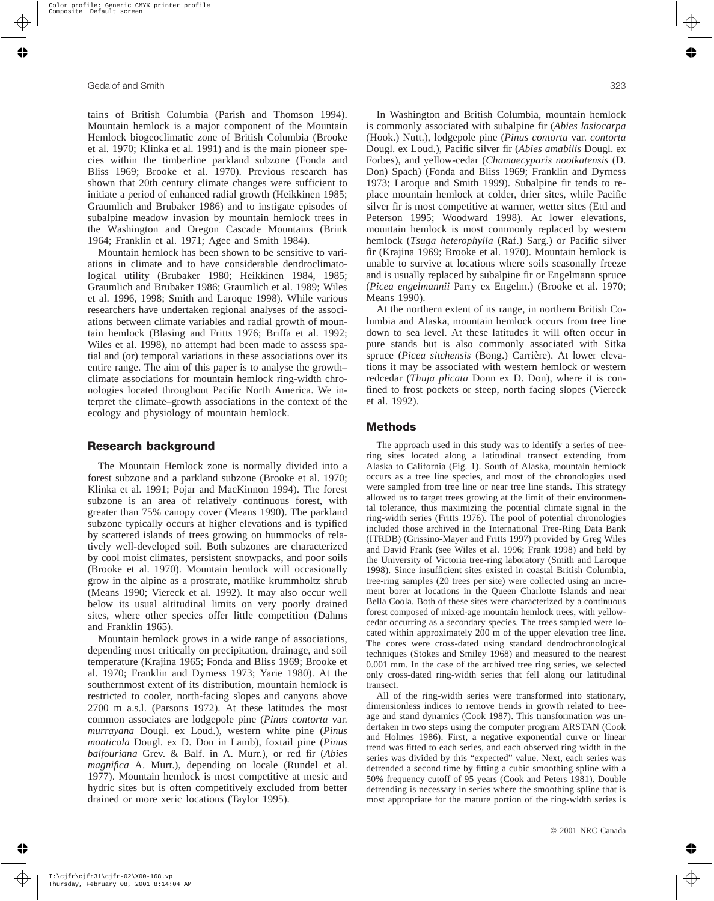tains of British Columbia (Parish and Thomson 1994). Mountain hemlock is a major component of the Mountain Hemlock biogeoclimatic zone of British Columbia (Brooke et al. 1970; Klinka et al. 1991) and is the main pioneer species within the timberline parkland subzone (Fonda and Bliss 1969; Brooke et al. 1970). Previous research has shown that 20th century climate changes were sufficient to initiate a period of enhanced radial growth (Heikkinen 1985; Graumlich and Brubaker 1986) and to instigate episodes of subalpine meadow invasion by mountain hemlock trees in the Washington and Oregon Cascade Mountains (Brink 1964; Franklin et al. 1971; Agee and Smith 1984).

Mountain hemlock has been shown to be sensitive to variations in climate and to have considerable dendroclimatological utility (Brubaker 1980; Heikkinen 1984, 1985; Graumlich and Brubaker 1986; Graumlich et al. 1989; Wiles et al. 1996, 1998; Smith and Laroque 1998). While various researchers have undertaken regional analyses of the associations between climate variables and radial growth of mountain hemlock (Blasing and Fritts 1976; Briffa et al. 1992; Wiles et al. 1998), no attempt had been made to assess spatial and (or) temporal variations in these associations over its entire range. The aim of this paper is to analyse the growth– climate associations for mountain hemlock ring-width chronologies located throughout Pacific North America. We interpret the climate–growth associations in the context of the ecology and physiology of mountain hemlock.

## **Research background**

The Mountain Hemlock zone is normally divided into a forest subzone and a parkland subzone (Brooke et al. 1970; Klinka et al. 1991; Pojar and MacKinnon 1994). The forest subzone is an area of relatively continuous forest, with greater than 75% canopy cover (Means 1990). The parkland subzone typically occurs at higher elevations and is typified by scattered islands of trees growing on hummocks of relatively well-developed soil. Both subzones are characterized by cool moist climates, persistent snowpacks, and poor soils (Brooke et al. 1970). Mountain hemlock will occasionally grow in the alpine as a prostrate, matlike krummholtz shrub (Means 1990; Viereck et al. 1992). It may also occur well below its usual altitudinal limits on very poorly drained sites, where other species offer little competition (Dahms and Franklin 1965).

Mountain hemlock grows in a wide range of associations, depending most critically on precipitation, drainage, and soil temperature (Krajina 1965; Fonda and Bliss 1969; Brooke et al. 1970; Franklin and Dyrness 1973; Yarie 1980). At the southernmost extent of its distribution, mountain hemlock is restricted to cooler, north-facing slopes and canyons above 2700 m a.s.l. (Parsons 1972). At these latitudes the most common associates are lodgepole pine (*Pinus contorta* var. *murrayana* Dougl. ex Loud.), western white pine (*Pinus monticola* Dougl. ex D. Don in Lamb), foxtail pine (*Pinus balfouriana* Grev. & Balf. in A. Murr.), or red fir (*Abies magnifica* A. Murr.), depending on locale (Rundel et al. 1977). Mountain hemlock is most competitive at mesic and hydric sites but is often competitively excluded from better drained or more xeric locations (Taylor 1995).

In Washington and British Columbia, mountain hemlock is commonly associated with subalpine fir (*Abies lasiocarpa* (Hook.) Nutt.), lodgepole pine (*Pinus contorta* var. *contorta* Dougl. ex Loud.), Pacific silver fir (*Abies amabilis* Dougl. ex Forbes), and yellow-cedar (*Chamaecyparis nootkatensis* (D. Don) Spach) (Fonda and Bliss 1969; Franklin and Dyrness 1973; Laroque and Smith 1999). Subalpine fir tends to replace mountain hemlock at colder, drier sites, while Pacific silver fir is most competitive at warmer, wetter sites (Ettl and Peterson 1995; Woodward 1998). At lower elevations, mountain hemlock is most commonly replaced by western hemlock (*Tsuga heterophylla* (Raf.) Sarg.) or Pacific silver fir (Krajina 1969; Brooke et al. 1970). Mountain hemlock is unable to survive at locations where soils seasonally freeze and is usually replaced by subalpine fir or Engelmann spruce (*Picea engelmannii* Parry ex Engelm.) (Brooke et al. 1970; Means 1990).

At the northern extent of its range, in northern British Columbia and Alaska, mountain hemlock occurs from tree line down to sea level. At these latitudes it will often occur in pure stands but is also commonly associated with Sitka spruce (*Picea sitchensis* (Bong.) Carrière). At lower elevations it may be associated with western hemlock or western redcedar (*Thuja plicata* Donn ex D. Don), where it is confined to frost pockets or steep, north facing slopes (Viereck et al. 1992).

## **Methods**

The approach used in this study was to identify a series of treering sites located along a latitudinal transect extending from Alaska to California (Fig. 1). South of Alaska, mountain hemlock occurs as a tree line species, and most of the chronologies used were sampled from tree line or near tree line stands. This strategy allowed us to target trees growing at the limit of their environmental tolerance, thus maximizing the potential climate signal in the ring-width series (Fritts 1976). The pool of potential chronologies included those archived in the International Tree-Ring Data Bank (ITRDB) (Grissino-Mayer and Fritts 1997) provided by Greg Wiles and David Frank (see Wiles et al. 1996; Frank 1998) and held by the University of Victoria tree-ring laboratory (Smith and Laroque 1998). Since insufficient sites existed in coastal British Columbia, tree-ring samples (20 trees per site) were collected using an increment borer at locations in the Queen Charlotte Islands and near Bella Coola. Both of these sites were characterized by a continuous forest composed of mixed-age mountain hemlock trees, with yellowcedar occurring as a secondary species. The trees sampled were located within approximately 200 m of the upper elevation tree line. The cores were cross-dated using standard dendrochronological techniques (Stokes and Smiley 1968) and measured to the nearest 0.001 mm. In the case of the archived tree ring series, we selected only cross-dated ring-width series that fell along our latitudinal transect.

All of the ring-width series were transformed into stationary, dimensionless indices to remove trends in growth related to treeage and stand dynamics (Cook 1987). This transformation was undertaken in two steps using the computer program ARSTAN (Cook and Holmes 1986). First, a negative exponential curve or linear trend was fitted to each series, and each observed ring width in the series was divided by this "expected" value. Next, each series was detrended a second time by fitting a cubic smoothing spline with a 50% frequency cutoff of 95 years (Cook and Peters 1981). Double detrending is necessary in series where the smoothing spline that is most appropriate for the mature portion of the ring-width series is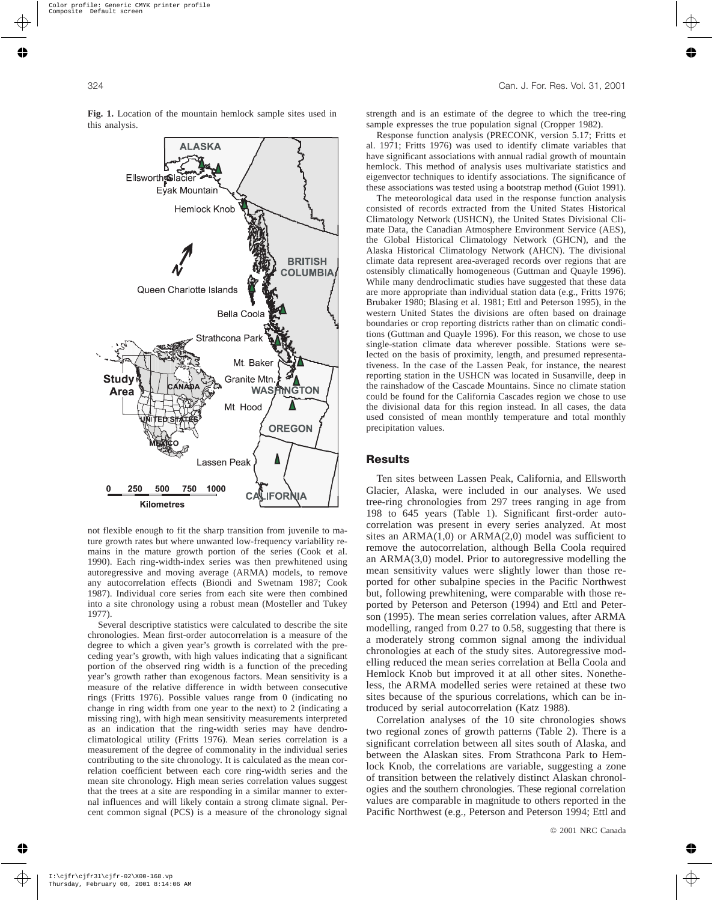

**Fig. 1.** Location of the mountain hemlock sample sites used in this analysis.

not flexible enough to fit the sharp transition from juvenile to mature growth rates but where unwanted low-frequency variability remains in the mature growth portion of the series (Cook et al. 1990). Each ring-width-index series was then prewhitened using autoregressive and moving average (ARMA) models, to remove any autocorrelation effects (Biondi and Swetnam 1987; Cook 1987). Individual core series from each site were then combined into a site chronology using a robust mean (Mosteller and Tukey 1977).

Several descriptive statistics were calculated to describe the site chronologies. Mean first-order autocorrelation is a measure of the degree to which a given year's growth is correlated with the preceding year's growth, with high values indicating that a significant portion of the observed ring width is a function of the preceding year's growth rather than exogenous factors. Mean sensitivity is a measure of the relative difference in width between consecutive rings (Fritts 1976). Possible values range from 0 (indicating no change in ring width from one year to the next) to 2 (indicating a missing ring), with high mean sensitivity measurements interpreted as an indication that the ring-width series may have dendroclimatological utility (Fritts 1976). Mean series correlation is a measurement of the degree of commonality in the individual series contributing to the site chronology. It is calculated as the mean correlation coefficient between each core ring-width series and the mean site chronology. High mean series correlation values suggest that the trees at a site are responding in a similar manner to external influences and will likely contain a strong climate signal. Percent common signal (PCS) is a measure of the chronology signal strength and is an estimate of the degree to which the tree-ring sample expresses the true population signal (Cropper 1982).

Response function analysis (PRECONK, version 5.17; Fritts et al. 1971; Fritts 1976) was used to identify climate variables that have significant associations with annual radial growth of mountain hemlock. This method of analysis uses multivariate statistics and eigenvector techniques to identify associations. The significance of these associations was tested using a bootstrap method (Guiot 1991).

The meteorological data used in the response function analysis consisted of records extracted from the United States Historical Climatology Network (USHCN), the United States Divisional Climate Data, the Canadian Atmosphere Environment Service (AES), the Global Historical Climatology Network (GHCN), and the Alaska Historical Climatology Network (AHCN). The divisional climate data represent area-averaged records over regions that are ostensibly climatically homogeneous (Guttman and Quayle 1996). While many dendroclimatic studies have suggested that these data are more appropriate than individual station data (e.g., Fritts 1976; Brubaker 1980; Blasing et al. 1981; Ettl and Peterson 1995), in the western United States the divisions are often based on drainage boundaries or crop reporting districts rather than on climatic conditions (Guttman and Quayle 1996). For this reason, we chose to use single-station climate data wherever possible. Stations were selected on the basis of proximity, length, and presumed representativeness. In the case of the Lassen Peak, for instance, the nearest reporting station in the USHCN was located in Susanville, deep in the rainshadow of the Cascade Mountains. Since no climate station could be found for the California Cascades region we chose to use the divisional data for this region instead. In all cases, the data used consisted of mean monthly temperature and total monthly precipitation values.

## **Results**

Ten sites between Lassen Peak, California, and Ellsworth Glacier, Alaska, were included in our analyses. We used tree-ring chronologies from 297 trees ranging in age from 198 to 645 years (Table 1). Significant first-order autocorrelation was present in every series analyzed. At most sites an  $ARMA(1,0)$  or  $ARMA(2,0)$  model was sufficient to remove the autocorrelation, although Bella Coola required an ARMA(3,0) model. Prior to autoregressive modelling the mean sensitivity values were slightly lower than those reported for other subalpine species in the Pacific Northwest but, following prewhitening, were comparable with those reported by Peterson and Peterson (1994) and Ettl and Peterson (1995). The mean series correlation values, after ARMA modelling, ranged from 0.27 to 0.58, suggesting that there is a moderately strong common signal among the individual chronologies at each of the study sites. Autoregressive modelling reduced the mean series correlation at Bella Coola and Hemlock Knob but improved it at all other sites. Nonetheless, the ARMA modelled series were retained at these two sites because of the spurious correlations, which can be introduced by serial autocorrelation (Katz 1988).

Correlation analyses of the 10 site chronologies shows two regional zones of growth patterns (Table 2). There is a significant correlation between all sites south of Alaska, and between the Alaskan sites. From Strathcona Park to Hemlock Knob, the correlations are variable, suggesting a zone of transition between the relatively distinct Alaskan chronologies and the southern chronologies. These regional correlation values are comparable in magnitude to others reported in the Pacific Northwest (e.g., Peterson and Peterson 1994; Ettl and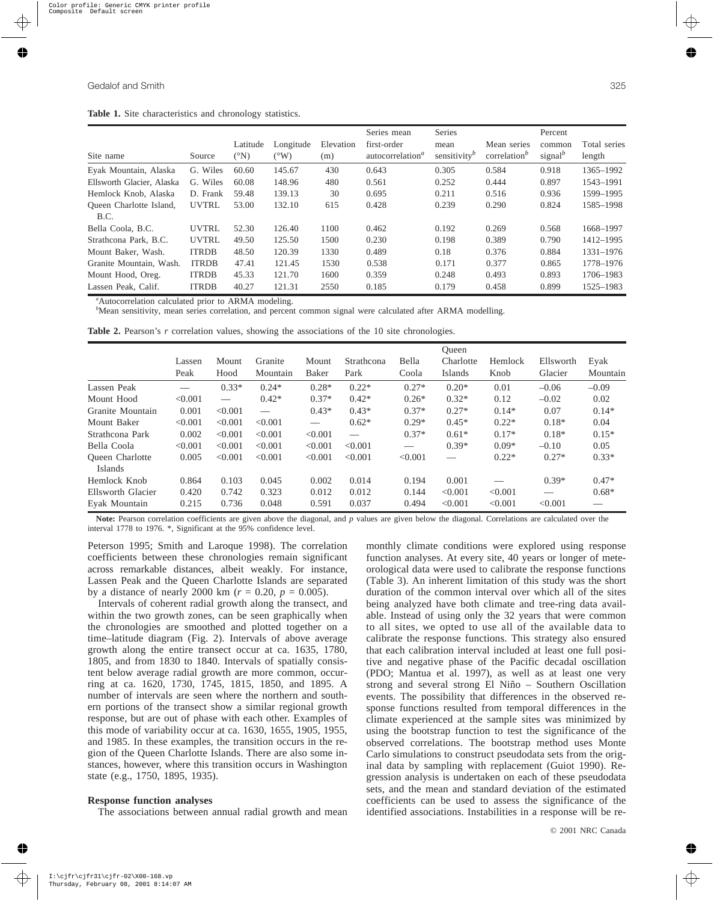**Table 1.** Site characteristics and chronology statistics.

|                           |              |               |               |           | Series mean                         | Series          |                                       | Percent                          |              |
|---------------------------|--------------|---------------|---------------|-----------|-------------------------------------|-----------------|---------------------------------------|----------------------------------|--------------|
|                           |              | Latitude      | Longitude     | Elevation | first-order                         | mean            | Mean series                           | common                           | Total series |
| Site name                 | Source       | $\rm ^{(°N)}$ | $(^{\circ}W)$ | (m)       | autocorrelation <sup><i>a</i></sup> | sensitivity $b$ | correlation <sup><math>b</math></sup> | signal <sup><math>b</math></sup> | length       |
| Eyak Mountain, Alaska     | G. Wiles     | 60.60         | 145.67        | 430       | 0.643                               | 0.305           | 0.584                                 | 0.918                            | 1365-1992    |
| Ellsworth Glacier, Alaska | G. Wiles     | 60.08         | 148.96        | 480       | 0.561                               | 0.252           | 0.444                                 | 0.897                            | 1543-1991    |
| Hemlock Knob, Alaska      | D. Frank     | 59.48         | 139.13        | 30        | 0.695                               | 0.211           | 0.516                                 | 0.936                            | 1599-1995    |
| Queen Charlotte Island,   | <b>UVTRL</b> | 53.00         | 132.10        | 615       | 0.428                               | 0.239           | 0.290                                 | 0.824                            | 1585-1998    |
| B.C.                      |              |               |               |           |                                     |                 |                                       |                                  |              |
| Bella Coola, B.C.         | <b>UVTRL</b> | 52.30         | 126.40        | 1100      | 0.462                               | 0.192           | 0.269                                 | 0.568                            | 1668-1997    |
| Strathcona Park, B.C.     | <b>UVTRL</b> | 49.50         | 125.50        | 1500      | 0.230                               | 0.198           | 0.389                                 | 0.790                            | 1412-1995    |
| Mount Baker, Wash.        | <b>ITRDB</b> | 48.50         | 120.39        | 1330      | 0.489                               | 0.18            | 0.376                                 | 0.884                            | 1331-1976    |
| Granite Mountain, Wash.   | <b>ITRDB</b> | 47.41         | 121.45        | 1530      | 0.538                               | 0.171           | 0.377                                 | 0.865                            | 1778-1976    |
| Mount Hood, Oreg.         | <b>ITRDB</b> | 45.33         | 121.70        | 1600      | 0.359                               | 0.248           | 0.493                                 | 0.893                            | 1706-1983    |
| Lassen Peak, Calif.       | <b>ITRDB</b> | 40.27         | 121.31        | 2550      | 0.185                               | 0.179           | 0.458                                 | 0.899                            | 1525-1983    |

*a* Autocorrelation calculated prior to ARMA modeling.

*b* Mean sensitivity, mean series correlation, and percent common signal were calculated after ARMA modelling.

|  |  |  | <b>Table 2.</b> Pearson's r correlation values, showing the associations of the 10 site chronologies. |  |  |  |  |
|--|--|--|-------------------------------------------------------------------------------------------------------|--|--|--|--|
|  |  |  |                                                                                                       |  |  |  |  |

|                                   | Lassen<br>Peak | Mount<br>Hood   | Granite<br>Mountain | Mount<br>Baker    | Strathcona<br>Park | Bella<br>Coola  | Oueen<br>Charlotte<br>Islands | Hemlock<br>Knob | Ellsworth<br>Glacier | Eyak<br>Mountain  |
|-----------------------------------|----------------|-----------------|---------------------|-------------------|--------------------|-----------------|-------------------------------|-----------------|----------------------|-------------------|
| Lassen Peak                       |                | $0.33*$         | $0.24*$             | $0.28*$           | $0.22*$            | $0.27*$         | $0.20*$                       | 0.01            | $-0.06$              | $-0.09$           |
| Mount Hood                        | < 0.001        | $\qquad \qquad$ | $0.42*$             | $0.37*$           | $0.42*$            | $0.26*$         | $0.32*$                       | 0.12            | $-0.02$              | 0.02              |
| Granite Mountain                  | 0.001          | < 0.001         |                     | $0.43*$           | $0.43*$            | $0.37*$         | $0.27*$                       | $0.14*$         | 0.07                 | $0.14*$           |
| Mount Baker                       | < 0.001        | < 0.001         | < 0.001             | $\hspace{0.05cm}$ | $0.62*$            | $0.29*$         | $0.45*$                       | $0.22*$         | $0.18*$              | 0.04              |
| Strathcona Park                   | 0.002          | < 0.001         | < 0.001             | < 0.001           |                    | $0.37*$         | $0.61*$                       | $0.17*$         | $0.18*$              | $0.15*$           |
| Bella Coola                       | < 0.001        | < 0.001         | < 0.001             | < 0.001           | < 0.001            | $\qquad \qquad$ | $0.39*$                       | $0.09*$         | $-0.10$              | 0.05              |
| <b>Oueen</b> Charlotte<br>Islands | 0.005          | < 0.001         | < 0.001             | < 0.001           | < 0.001            | < 0.001         |                               | $0.22*$         | $0.27*$              | $0.33*$           |
| Hemlock Knob                      | 0.864          | 0.103           | 0.045               | 0.002             | 0.014              | 0.194           | 0.001                         |                 | $0.39*$              | $0.47*$           |
| Ellsworth Glacier                 | 0.420          | 0.742           | 0.323               | 0.012             | 0.012              | 0.144           | < 0.001                       | < 0.001         |                      | $0.68*$           |
| Evak Mountain                     | 0.215          | 0.736           | 0.048               | 0.591             | 0.037              | 0.494           | < 0.001                       | < 0.001         | < 0.001              | $\hspace{0.05cm}$ |

Note: Pearson correlation coefficients are given above the diagonal, and *p* values are given below the diagonal. Correlations are calculated over the interval 1778 to 1976. \*, Significant at the 95% confidence level.

Peterson 1995; Smith and Laroque 1998). The correlation coefficients between these chronologies remain significant across remarkable distances, albeit weakly. For instance, Lassen Peak and the Queen Charlotte Islands are separated by a distance of nearly 2000 km ( $r = 0.20$ ,  $p = 0.005$ ).

Intervals of coherent radial growth along the transect, and within the two growth zones, can be seen graphically when the chronologies are smoothed and plotted together on a time–latitude diagram (Fig. 2). Intervals of above average growth along the entire transect occur at ca. 1635, 1780, 1805, and from 1830 to 1840. Intervals of spatially consistent below average radial growth are more common, occurring at ca. 1620, 1730, 1745, 1815, 1850, and 1895. A number of intervals are seen where the northern and southern portions of the transect show a similar regional growth response, but are out of phase with each other. Examples of this mode of variability occur at ca. 1630, 1655, 1905, 1955, and 1985. In these examples, the transition occurs in the region of the Queen Charlotte Islands. There are also some instances, however, where this transition occurs in Washington state (e.g., 1750, 1895, 1935).

#### **Response function analyses**

The associations between annual radial growth and mean

monthly climate conditions were explored using response function analyses. At every site, 40 years or longer of meteorological data were used to calibrate the response functions (Table 3). An inherent limitation of this study was the short duration of the common interval over which all of the sites being analyzed have both climate and tree-ring data available. Instead of using only the 32 years that were common to all sites, we opted to use all of the available data to calibrate the response functions. This strategy also ensured that each calibration interval included at least one full positive and negative phase of the Pacific decadal oscillation (PDO; Mantua et al. 1997), as well as at least one very strong and several strong El Niño – Southern Oscillation events. The possibility that differences in the observed response functions resulted from temporal differences in the climate experienced at the sample sites was minimized by using the bootstrap function to test the significance of the observed correlations. The bootstrap method uses Monte Carlo simulations to construct pseudodata sets from the original data by sampling with replacement (Guiot 1990). Regression analysis is undertaken on each of these pseudodata sets, and the mean and standard deviation of the estimated coefficients can be used to assess the significance of the identified associations. Instabilities in a response will be re-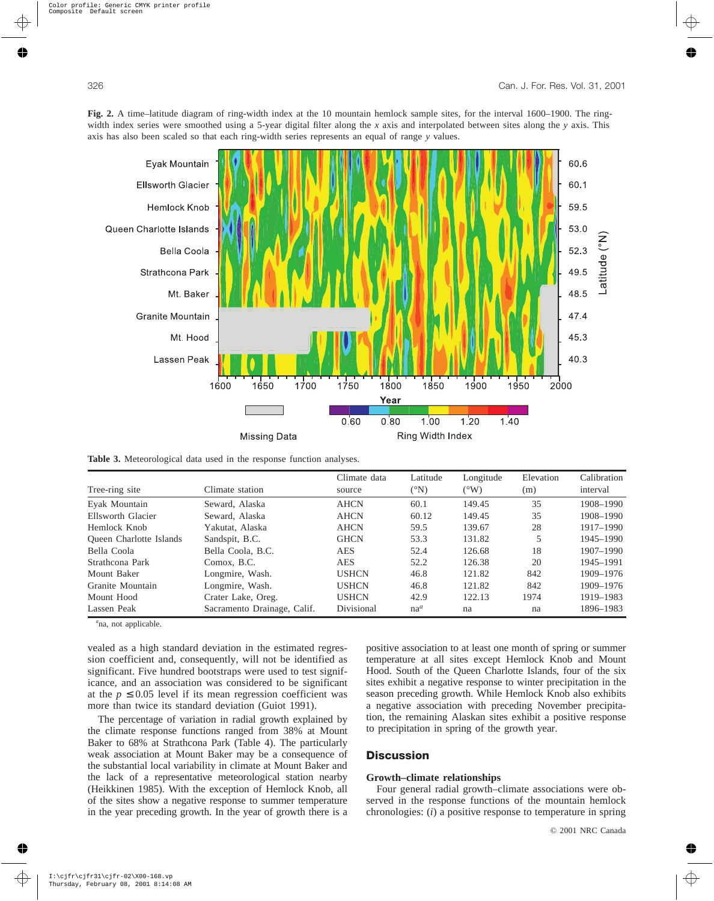



**Table 3.** Meteorological data used in the response function analyses.

|                         |                             | Climate data | Latitude       | Longitude     | Elevation | Calibration |
|-------------------------|-----------------------------|--------------|----------------|---------------|-----------|-------------|
| Tree-ring site          | Climate station             | source       | $({}^\circ N)$ | $(^{\circ}W)$ | (m)       | interval    |
| Eyak Mountain           | Seward, Alaska              | <b>AHCN</b>  | 60.1           | 149.45        | 35        | 1908-1990   |
| Ellsworth Glacier       | Seward, Alaska              | <b>AHCN</b>  | 60.12          | 149.45        | 35        | 1908-1990   |
| Hemlock Knob            | Yakutat, Alaska             | <b>AHCN</b>  | 59.5           | 139.67        | 28        | 1917-1990   |
| Queen Charlotte Islands | Sandspit, B.C.              | <b>GHCN</b>  | 53.3           | 131.82        | 5         | 1945-1990   |
| Bella Coola             | Bella Coola, B.C.           | <b>AES</b>   | 52.4           | 126.68        | 18        | 1907-1990   |
| Strathcona Park         | Comox, B.C.                 | <b>AES</b>   | 52.2           | 126.38        | 20        | 1945-1991   |
| Mount Baker             | Longmire, Wash.             | <b>USHCN</b> | 46.8           | 121.82        | 842       | 1909-1976   |
| Granite Mountain        | Longmire, Wash.             | <b>USHCN</b> | 46.8           | 121.82        | 842       | 1909-1976   |
| Mount Hood              | Crater Lake, Oreg.          | <b>USHCN</b> | 42.9           | 122.13        | 1974      | 1919-1983   |
| Lassen Peak             | Sacramento Drainage, Calif. | Divisional   | $na^a$         | na            | na        | 1896-1983   |

*a* na, not applicable.

vealed as a high standard deviation in the estimated regression coefficient and, consequently, will not be identified as significant. Five hundred bootstraps were used to test significance, and an association was considered to be significant at the  $p \leq 0.05$  level if its mean regression coefficient was more than twice its standard deviation (Guiot 1991).

The percentage of variation in radial growth explained by the climate response functions ranged from 38% at Mount Baker to 68% at Strathcona Park (Table 4). The particularly weak association at Mount Baker may be a consequence of the substantial local variability in climate at Mount Baker and the lack of a representative meteorological station nearby (Heikkinen 1985). With the exception of Hemlock Knob, all of the sites show a negative response to summer temperature in the year preceding growth. In the year of growth there is a positive association to at least one month of spring or summer temperature at all sites except Hemlock Knob and Mount Hood. South of the Queen Charlotte Islands, four of the six sites exhibit a negative response to winter precipitation in the season preceding growth. While Hemlock Knob also exhibits a negative association with preceding November precipitation, the remaining Alaskan sites exhibit a positive response to precipitation in spring of the growth year.

## **Discussion**

#### **Growth–climate relationships**

Four general radial growth–climate associations were observed in the response functions of the mountain hemlock chronologies: (*i*) a positive response to temperature in spring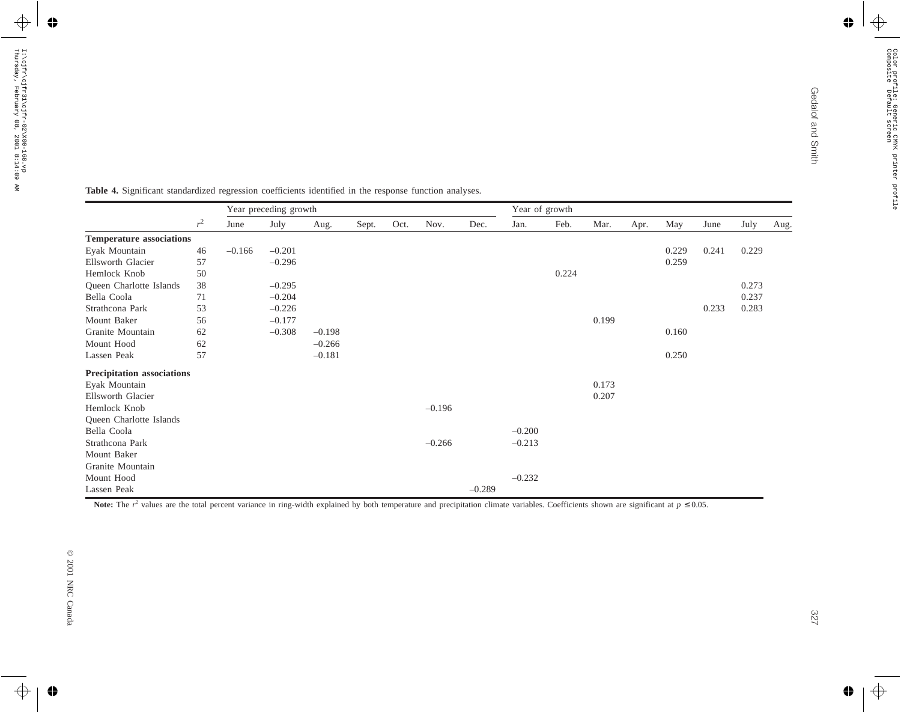| <b>Temperature associations</b><br>Eyak Mountain |        |          | Year preceding growth |          |       |      |          |          |          | Year of growth |       |      |       |       |       |      |
|--------------------------------------------------|--------|----------|-----------------------|----------|-------|------|----------|----------|----------|----------------|-------|------|-------|-------|-------|------|
|                                                  | $r^2$  | June     | July                  | Aug.     | Sept. | Oct. | Nov.     | Dec.     | Jan.     | Feb.           | Mar.  | Apr. | May   | June  | July  | Aug. |
|                                                  |        |          |                       |          |       |      |          |          |          |                |       |      |       |       |       |      |
|                                                  | $46\,$ | $-0.166$ | $-0.201$              |          |       |      |          |          |          |                |       |      | 0.229 | 0.241 | 0.229 |      |
| Ellsworth Glacier                                | 57     |          | $-0.296$              |          |       |      |          |          |          |                |       |      | 0.259 |       |       |      |
| Hemlock Knob                                     | 50     |          |                       |          |       |      |          |          |          | 0.224          |       |      |       |       |       |      |
| Queen Charlotte Islands                          | 38     |          | $-0.295$              |          |       |      |          |          |          |                |       |      |       |       | 0.273 |      |
| Bella Coola                                      | 71     |          | $-0.204$              |          |       |      |          |          |          |                |       |      |       |       | 0.237 |      |
| Strathcona Park                                  | 53     |          | $-0.226$              |          |       |      |          |          |          |                |       |      |       | 0.233 | 0.283 |      |
| Mount Baker                                      | 56     |          | $-0.177$              |          |       |      |          |          |          |                | 0.199 |      |       |       |       |      |
| Granite Mountain                                 | 62     |          | $-0.308$              | $-0.198$ |       |      |          |          |          |                |       |      | 0.160 |       |       |      |
| Mount Hood                                       | 62     |          |                       | $-0.266$ |       |      |          |          |          |                |       |      |       |       |       |      |
| Lassen Peak                                      | 57     |          |                       | $-0.181$ |       |      |          |          |          |                |       |      | 0.250 |       |       |      |
| <b>Precipitation associations</b>                |        |          |                       |          |       |      |          |          |          |                |       |      |       |       |       |      |
| Eyak Mountain                                    |        |          |                       |          |       |      |          |          |          |                | 0.173 |      |       |       |       |      |
| Ellsworth Glacier                                |        |          |                       |          |       |      |          |          |          |                | 0.207 |      |       |       |       |      |
| Hemlock Knob                                     |        |          |                       |          |       |      | $-0.196$ |          |          |                |       |      |       |       |       |      |
| Queen Charlotte Islands                          |        |          |                       |          |       |      |          |          |          |                |       |      |       |       |       |      |
| Bella Coola                                      |        |          |                       |          |       |      |          |          | $-0.200$ |                |       |      |       |       |       |      |
| Strathcona Park                                  |        |          |                       |          |       |      | $-0.266$ |          | $-0.213$ |                |       |      |       |       |       |      |
| Mount Baker                                      |        |          |                       |          |       |      |          |          |          |                |       |      |       |       |       |      |
| Granite Mountain                                 |        |          |                       |          |       |      |          |          |          |                |       |      |       |       |       |      |
| Mount Hood                                       |        |          |                       |          |       |      |          |          | $-0.232$ |                |       |      |       |       |       |      |
| Lassen Peak                                      |        |          |                       |          |       |      |          | $-0.289$ |          |                |       |      |       |       |       |      |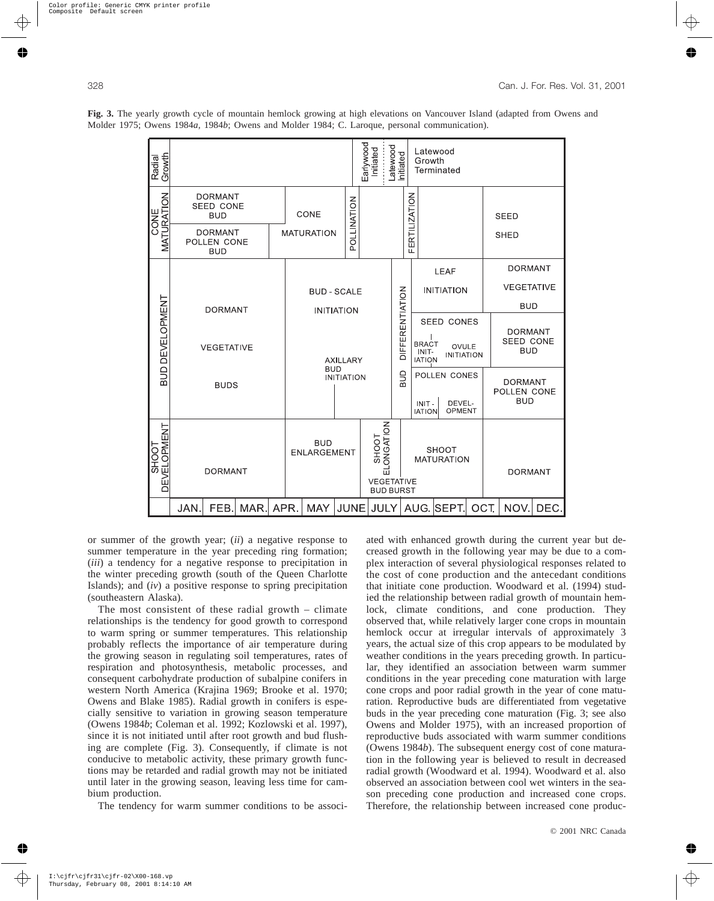

**Fig. 3.** The yearly growth cycle of mountain hemlock growing at high elevations on Vancouver Island (adapted from Owens and Molder 1975; Owens 1984*a*, 1984*b*; Owens and Molder 1984; C. Laroque, personal communication).

or summer of the growth year; (*ii*) a negative response to summer temperature in the year preceding ring formation; (*iii*) a tendency for a negative response to precipitation in the winter preceding growth (south of the Queen Charlotte Islands); and (*iv*) a positive response to spring precipitation (southeastern Alaska).

The most consistent of these radial growth – climate relationships is the tendency for good growth to correspond to warm spring or summer temperatures. This relationship probably reflects the importance of air temperature during the growing season in regulating soil temperatures, rates of respiration and photosynthesis, metabolic processes, and consequent carbohydrate production of subalpine conifers in western North America (Krajina 1969; Brooke et al. 1970; Owens and Blake 1985). Radial growth in conifers is especially sensitive to variation in growing season temperature (Owens 1984*b*; Coleman et al. 1992; Kozlowski et al. 1997), since it is not initiated until after root growth and bud flushing are complete (Fig. 3). Consequently, if climate is not conducive to metabolic activity, these primary growth functions may be retarded and radial growth may not be initiated until later in the growing season, leaving less time for cambium production.

The tendency for warm summer conditions to be associ-

ated with enhanced growth during the current year but decreased growth in the following year may be due to a complex interaction of several physiological responses related to the cost of cone production and the antecedant conditions that initiate cone production. Woodward et al. (1994) studied the relationship between radial growth of mountain hemlock, climate conditions, and cone production. They observed that, while relatively larger cone crops in mountain hemlock occur at irregular intervals of approximately 3 years, the actual size of this crop appears to be modulated by weather conditions in the years preceding growth. In particular, they identified an association between warm summer conditions in the year preceding cone maturation with large cone crops and poor radial growth in the year of cone maturation. Reproductive buds are differentiated from vegetative buds in the year preceding cone maturation (Fig. 3; see also Owens and Molder 1975), with an increased proportion of reproductive buds associated with warm summer conditions (Owens 1984*b*). The subsequent energy cost of cone maturation in the following year is believed to result in decreased radial growth (Woodward et al. 1994). Woodward et al. also observed an association between cool wet winters in the season preceding cone production and increased cone crops. Therefore, the relationship between increased cone produc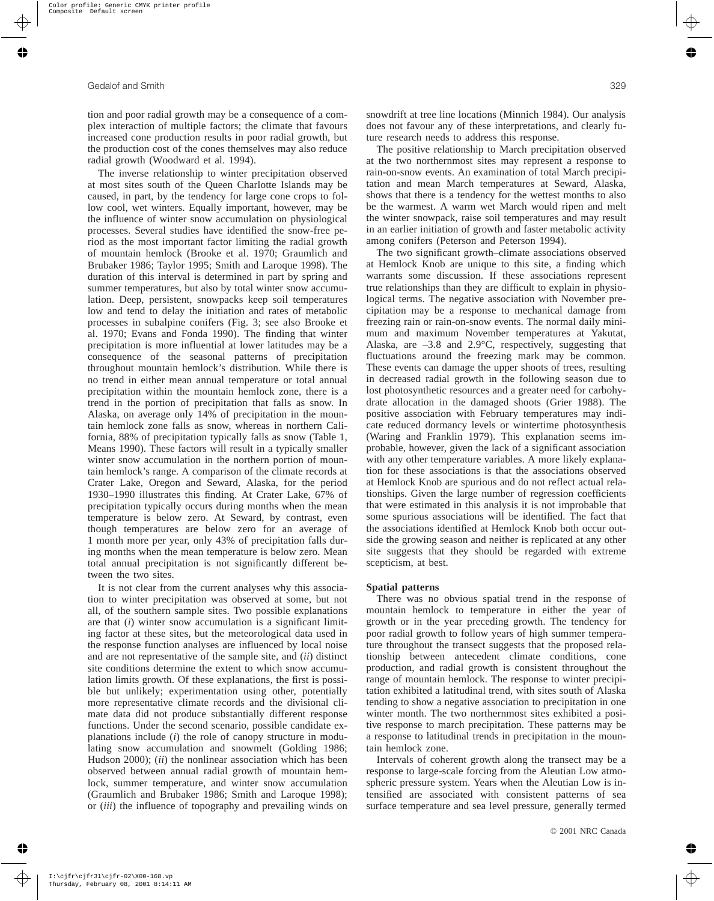tion and poor radial growth may be a consequence of a complex interaction of multiple factors; the climate that favours increased cone production results in poor radial growth, but the production cost of the cones themselves may also reduce radial growth (Woodward et al. 1994).

The inverse relationship to winter precipitation observed at most sites south of the Queen Charlotte Islands may be caused, in part, by the tendency for large cone crops to follow cool, wet winters. Equally important, however, may be the influence of winter snow accumulation on physiological processes. Several studies have identified the snow-free period as the most important factor limiting the radial growth of mountain hemlock (Brooke et al. 1970; Graumlich and Brubaker 1986; Taylor 1995; Smith and Laroque 1998). The duration of this interval is determined in part by spring and summer temperatures, but also by total winter snow accumulation. Deep, persistent, snowpacks keep soil temperatures low and tend to delay the initiation and rates of metabolic processes in subalpine conifers (Fig. 3; see also Brooke et al. 1970; Evans and Fonda 1990). The finding that winter precipitation is more influential at lower latitudes may be a consequence of the seasonal patterns of precipitation throughout mountain hemlock's distribution. While there is no trend in either mean annual temperature or total annual precipitation within the mountain hemlock zone, there is a trend in the portion of precipitation that falls as snow. In Alaska, on average only 14% of precipitation in the mountain hemlock zone falls as snow, whereas in northern California, 88% of precipitation typically falls as snow (Table 1, Means 1990). These factors will result in a typically smaller winter snow accumulation in the northern portion of mountain hemlock's range. A comparison of the climate records at Crater Lake, Oregon and Seward, Alaska, for the period 1930–1990 illustrates this finding. At Crater Lake, 67% of precipitation typically occurs during months when the mean temperature is below zero. At Seward, by contrast, even though temperatures are below zero for an average of 1 month more per year, only 43% of precipitation falls during months when the mean temperature is below zero. Mean total annual precipitation is not significantly different between the two sites.

It is not clear from the current analyses why this association to winter precipitation was observed at some, but not all, of the southern sample sites. Two possible explanations are that (*i*) winter snow accumulation is a significant limiting factor at these sites, but the meteorological data used in the response function analyses are influenced by local noise and are not representative of the sample site, and (*ii*) distinct site conditions determine the extent to which snow accumulation limits growth. Of these explanations, the first is possible but unlikely; experimentation using other, potentially more representative climate records and the divisional climate data did not produce substantially different response functions. Under the second scenario, possible candidate explanations include (*i*) the role of canopy structure in modulating snow accumulation and snowmelt (Golding 1986; Hudson 2000); (*ii*) the nonlinear association which has been observed between annual radial growth of mountain hemlock, summer temperature, and winter snow accumulation (Graumlich and Brubaker 1986; Smith and Laroque 1998); or (*iii*) the influence of topography and prevailing winds on snowdrift at tree line locations (Minnich 1984). Our analysis does not favour any of these interpretations, and clearly future research needs to address this response.

The positive relationship to March precipitation observed at the two northernmost sites may represent a response to rain-on-snow events. An examination of total March precipitation and mean March temperatures at Seward, Alaska, shows that there is a tendency for the wettest months to also be the warmest. A warm wet March would ripen and melt the winter snowpack, raise soil temperatures and may result in an earlier initiation of growth and faster metabolic activity among conifers (Peterson and Peterson 1994).

The two significant growth–climate associations observed at Hemlock Knob are unique to this site, a finding which warrants some discussion. If these associations represent true relationships than they are difficult to explain in physiological terms. The negative association with November precipitation may be a response to mechanical damage from freezing rain or rain-on-snow events. The normal daily minimum and maximum November temperatures at Yakutat, Alaska, are –3.8 and 2.9°C, respectively, suggesting that fluctuations around the freezing mark may be common. These events can damage the upper shoots of trees, resulting in decreased radial growth in the following season due to lost photosynthetic resources and a greater need for carbohydrate allocation in the damaged shoots (Grier 1988). The positive association with February temperatures may indicate reduced dormancy levels or wintertime photosynthesis (Waring and Franklin 1979). This explanation seems improbable, however, given the lack of a significant association with any other temperature variables. A more likely explanation for these associations is that the associations observed at Hemlock Knob are spurious and do not reflect actual relationships. Given the large number of regression coefficients that were estimated in this analysis it is not improbable that some spurious associations will be identified. The fact that the associations identified at Hemlock Knob both occur outside the growing season and neither is replicated at any other site suggests that they should be regarded with extreme scepticism, at best.

#### **Spatial patterns**

There was no obvious spatial trend in the response of mountain hemlock to temperature in either the year of growth or in the year preceding growth. The tendency for poor radial growth to follow years of high summer temperature throughout the transect suggests that the proposed relationship between antecedent climate conditions, cone production, and radial growth is consistent throughout the range of mountain hemlock. The response to winter precipitation exhibited a latitudinal trend, with sites south of Alaska tending to show a negative association to precipitation in one winter month. The two northernmost sites exhibited a positive response to march precipitation. These patterns may be a response to latitudinal trends in precipitation in the mountain hemlock zone.

Intervals of coherent growth along the transect may be a response to large-scale forcing from the Aleutian Low atmospheric pressure system. Years when the Aleutian Low is intensified are associated with consistent patterns of sea surface temperature and sea level pressure, generally termed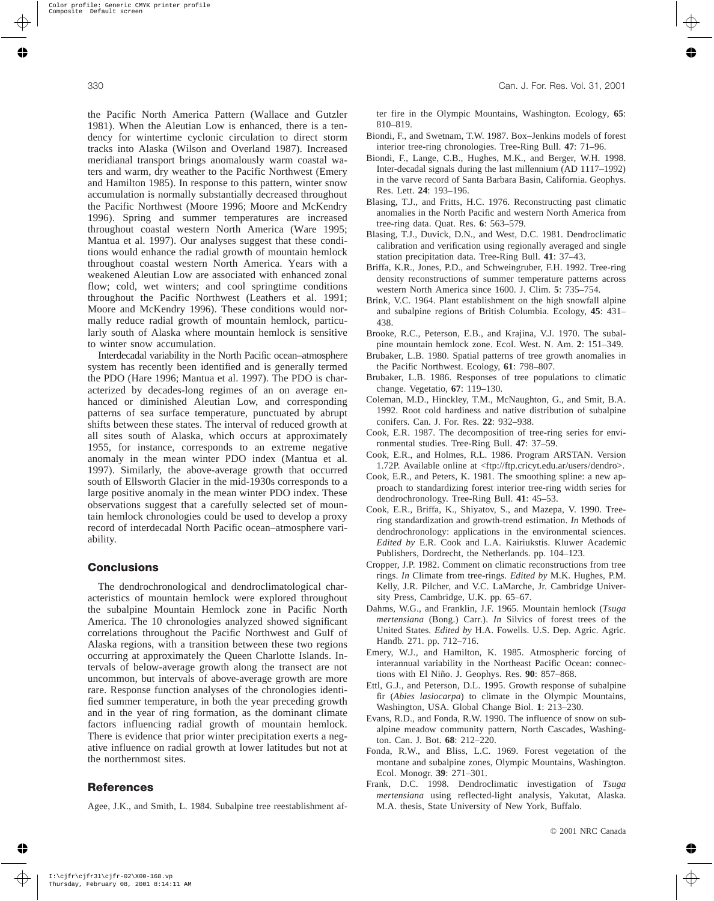the Pacific North America Pattern (Wallace and Gutzler 1981). When the Aleutian Low is enhanced, there is a tendency for wintertime cyclonic circulation to direct storm tracks into Alaska (Wilson and Overland 1987). Increased meridianal transport brings anomalously warm coastal waters and warm, dry weather to the Pacific Northwest (Emery and Hamilton 1985). In response to this pattern, winter snow accumulation is normally substantially decreased throughout the Pacific Northwest (Moore 1996; Moore and McKendry 1996). Spring and summer temperatures are increased throughout coastal western North America (Ware 1995; Mantua et al. 1997). Our analyses suggest that these conditions would enhance the radial growth of mountain hemlock throughout coastal western North America. Years with a weakened Aleutian Low are associated with enhanced zonal flow; cold, wet winters; and cool springtime conditions throughout the Pacific Northwest (Leathers et al. 1991; Moore and McKendry 1996). These conditions would normally reduce radial growth of mountain hemlock, particularly south of Alaska where mountain hemlock is sensitive to winter snow accumulation.

Interdecadal variability in the North Pacific ocean–atmosphere system has recently been identified and is generally termed the PDO (Hare 1996; Mantua et al. 1997). The PDO is characterized by decades-long regimes of an on average enhanced or diminished Aleutian Low, and corresponding patterns of sea surface temperature, punctuated by abrupt shifts between these states. The interval of reduced growth at all sites south of Alaska, which occurs at approximately 1955, for instance, corresponds to an extreme negative anomaly in the mean winter PDO index (Mantua et al. 1997). Similarly, the above-average growth that occurred south of Ellsworth Glacier in the mid-1930s corresponds to a large positive anomaly in the mean winter PDO index. These observations suggest that a carefully selected set of mountain hemlock chronologies could be used to develop a proxy record of interdecadal North Pacific ocean–atmosphere variability.

## **Conclusions**

The dendrochronological and dendroclimatological characteristics of mountain hemlock were explored throughout the subalpine Mountain Hemlock zone in Pacific North America. The 10 chronologies analyzed showed significant correlations throughout the Pacific Northwest and Gulf of Alaska regions, with a transition between these two regions occurring at approximately the Queen Charlotte Islands. Intervals of below-average growth along the transect are not uncommon, but intervals of above-average growth are more rare. Response function analyses of the chronologies identified summer temperature, in both the year preceding growth and in the year of ring formation, as the dominant climate factors influencing radial growth of mountain hemlock. There is evidence that prior winter precipitation exerts a negative influence on radial growth at lower latitudes but not at the northernmost sites.

## **References**

Agee, J.K., and Smith, L. 1984. Subalpine tree reestablishment af-

ter fire in the Olympic Mountains, Washington. Ecology, **65**: 810–819.

- Biondi, F., and Swetnam, T.W. 1987. Box–Jenkins models of forest interior tree-ring chronologies. Tree-Ring Bull. **47**: 71–96.
- Biondi, F., Lange, C.B., Hughes, M.K., and Berger, W.H. 1998. Inter-decadal signals during the last millennium (AD 1117–1992) in the varve record of Santa Barbara Basin, California. Geophys. Res. Lett. **24**: 193–196.
- Blasing, T.J., and Fritts, H.C. 1976. Reconstructing past climatic anomalies in the North Pacific and western North America from tree-ring data. Quat. Res. **6**: 563–579.
- Blasing, T.J., Duvick, D.N., and West, D.C. 1981. Dendroclimatic calibration and verification using regionally averaged and single station precipitation data. Tree-Ring Bull. **41**: 37–43.
- Briffa, K.R., Jones, P.D., and Schweingruber, F.H. 1992. Tree-ring density reconstructions of summer temperature patterns across western North America since 1600. J. Clim. **5**: 735–754.
- Brink, V.C. 1964. Plant establishment on the high snowfall alpine and subalpine regions of British Columbia. Ecology, **45**: 431– 438.
- Brooke, R.C., Peterson, E.B., and Krajina, V.J. 1970. The subalpine mountain hemlock zone. Ecol. West. N. Am. **2**: 151–349.
- Brubaker, L.B. 1980. Spatial patterns of tree growth anomalies in the Pacific Northwest. Ecology, **61**: 798–807.
- Brubaker, L.B. 1986. Responses of tree populations to climatic change. Vegetatio, **67**: 119–130.
- Coleman, M.D., Hinckley, T.M., McNaughton, G., and Smit, B.A. 1992. Root cold hardiness and native distribution of subalpine conifers. Can. J. For. Res. **22**: 932–938.
- Cook, E.R. 1987. The decomposition of tree-ring series for environmental studies. Tree-Ring Bull. **47**: 37–59.
- Cook, E.R., and Holmes, R.L. 1986. Program ARSTAN. Version 1.72P. Available online at <ftp://ftp.cricyt.edu.ar/users/dendro>.
- Cook, E.R., and Peters, K. 1981. The smoothing spline: a new approach to standardizing forest interior tree-ring width series for dendrochronology. Tree-Ring Bull. **41**: 45–53.
- Cook, E.R., Briffa, K., Shiyatov, S., and Mazepa, V. 1990. Treering standardization and growth-trend estimation. *In* Methods of dendrochronology: applications in the environmental sciences. *Edited by* E.R. Cook and L.A. Kairiukstis. Kluwer Academic Publishers, Dordrecht, the Netherlands. pp. 104–123.
- Cropper, J.P. 1982. Comment on climatic reconstructions from tree rings. *In* Climate from tree-rings. *Edited by* M.K. Hughes, P.M. Kelly, J.R. Pilcher, and V.C. LaMarche, Jr. Cambridge University Press, Cambridge, U.K. pp. 65–67.
- Dahms, W.G., and Franklin, J.F. 1965. Mountain hemlock (*Tsuga mertensiana* (Bong.) Carr.). *In* Silvics of forest trees of the United States. *Edited by* H.A. Fowells. U.S. Dep. Agric. Agric. Handb. 271. pp. 712–716.
- Emery, W.J., and Hamilton, K. 1985. Atmospheric forcing of interannual variability in the Northeast Pacific Ocean: connections with El Niño. J. Geophys. Res. **90**: 857–868.
- Ettl, G.J., and Peterson, D.L. 1995. Growth response of subalpine fir (*Abies lasiocarpa*) to climate in the Olympic Mountains, Washington, USA. Global Change Biol. **1**: 213–230.
- Evans, R.D., and Fonda, R.W. 1990. The influence of snow on subalpine meadow community pattern, North Cascades, Washington. Can. J. Bot. **68**: 212–220.
- Fonda, R.W., and Bliss, L.C. 1969. Forest vegetation of the montane and subalpine zones, Olympic Mountains, Washington. Ecol. Monogr. **39**: 271–301.
- Frank, D.C. 1998. Dendroclimatic investigation of *Tsuga mertensiana* using reflected-light analysis, Yakutat, Alaska. M.A. thesis, State University of New York, Buffalo.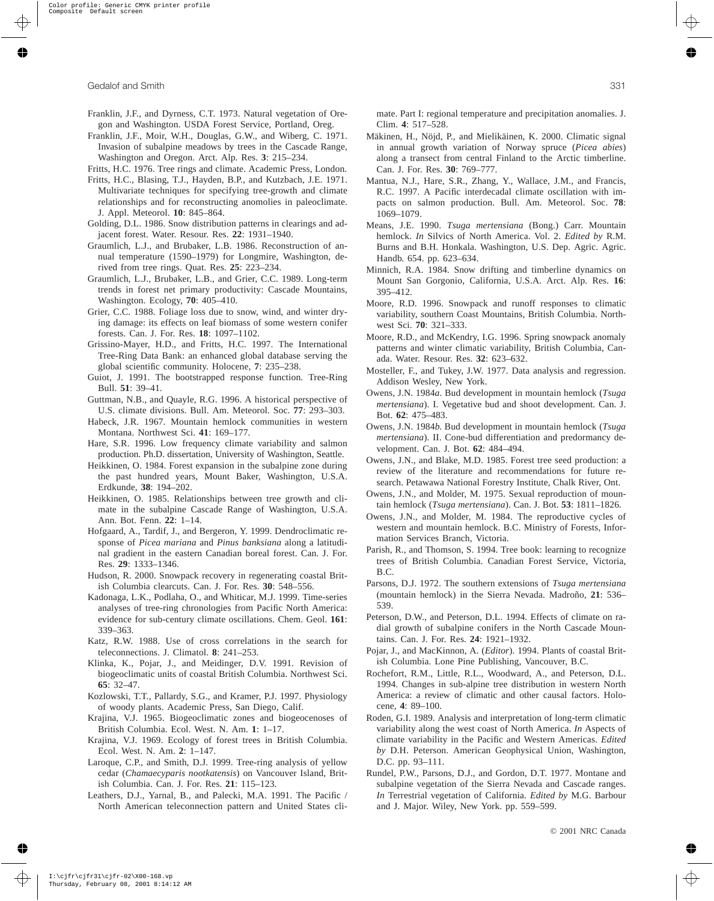- Franklin, J.F., and Dyrness, C.T. 1973. Natural vegetation of Oregon and Washington. USDA Forest Service, Portland, Oreg.
- Franklin, J.F., Moir, W.H., Douglas, G.W., and Wiberg, C. 1971. Invasion of subalpine meadows by trees in the Cascade Range, Washington and Oregon. Arct. Alp. Res. **3**: 215–234.
- Fritts, H.C. 1976. Tree rings and climate. Academic Press, London.
- Fritts, H.C., Blasing, T.J., Hayden, B.P., and Kutzbach, J.E. 1971. Multivariate techniques for specifying tree-growth and climate relationships and for reconstructing anomolies in paleoclimate. J. Appl. Meteorol. **10**: 845–864.
- Golding, D.L. 1986. Snow distribution patterns in clearings and adjacent forest. Water. Resour. Res. **22**: 1931–1940.
- Graumlich, L.J., and Brubaker, L.B. 1986. Reconstruction of annual temperature (1590–1979) for Longmire, Washington, derived from tree rings. Quat. Res. **25**: 223–234.
- Graumlich, L.J., Brubaker, L.B., and Grier, C.C. 1989. Long-term trends in forest net primary productivity: Cascade Mountains, Washington. Ecology, **70**: 405–410.
- Grier, C.C. 1988. Foliage loss due to snow, wind, and winter drying damage: its effects on leaf biomass of some western conifer forests. Can. J. For. Res. **18**: 1097–1102.
- Grissino-Mayer, H.D., and Fritts, H.C. 1997. The International Tree-Ring Data Bank: an enhanced global database serving the global scientific community. Holocene, **7**: 235–238.
- Guiot, J. 1991. The bootstrapped response function. Tree-Ring Bull. **51**: 39–41.
- Guttman, N.B., and Quayle, R.G. 1996. A historical perspective of U.S. climate divisions. Bull. Am. Meteorol. Soc. **77**: 293–303.
- Habeck, J.R. 1967. Mountain hemlock communities in western Montana. Northwest Sci. **41**: 169–177.
- Hare, S.R. 1996. Low frequency climate variability and salmon production. Ph.D. dissertation, University of Washington, Seattle.
- Heikkinen, O. 1984. Forest expansion in the subalpine zone during the past hundred years, Mount Baker, Washington, U.S.A. Erdkunde, **38**: 194–202.
- Heikkinen, O. 1985. Relationships between tree growth and climate in the subalpine Cascade Range of Washington, U.S.A. Ann. Bot. Fenn. **22**: 1–14.
- Hofgaard, A., Tardif, J., and Bergeron, Y. 1999. Dendroclimatic response of *Picea mariana* and *Pinus banksiana* along a latitudinal gradient in the eastern Canadian boreal forest. Can. J. For. Res. **29**: 1333–1346.
- Hudson, R. 2000. Snowpack recovery in regenerating coastal British Columbia clearcuts. Can. J. For. Res. **30**: 548–556.
- Kadonaga, L.K., Podlaha, O., and Whiticar, M.J. 1999. Time-series analyses of tree-ring chronologies from Pacific North America: evidence for sub-century climate oscillations. Chem. Geol. **161**: 339–363.
- Katz, R.W. 1988. Use of cross correlations in the search for teleconnections. J. Climatol. **8**: 241–253.
- Klinka, K., Pojar, J., and Meidinger, D.V. 1991. Revision of biogeoclimatic units of coastal British Columbia. Northwest Sci. **65**: 32–47.
- Kozlowski, T.T., Pallardy, S.G., and Kramer, P.J. 1997. Physiology of woody plants. Academic Press, San Diego, Calif.
- Krajina, V.J. 1965. Biogeoclimatic zones and biogeocenoses of British Columbia. Ecol. West. N. Am. **1**: 1–17.
- Krajina, V.J. 1969. Ecology of forest trees in British Columbia. Ecol. West. N. Am. **2**: 1–147.
- Laroque, C.P., and Smith, D.J. 1999. Tree-ring analysis of yellow cedar (*Chamaecyparis nootkatensis*) on Vancouver Island, British Columbia. Can. J. For. Res. **21**: 115–123.
- Leathers, D.J., Yarnal, B., and Palecki, M.A. 1991. The Pacific / North American teleconnection pattern and United States cli-
- Mäkinen, H., Nöjd, P., and Mielikäinen, K. 2000. Climatic signal in annual growth variation of Norway spruce (*Picea abies*) along a transect from central Finland to the Arctic timberline. Can. J. For. Res. **30**: 769–777.
- Mantua, N.J., Hare, S.R., Zhang, Y., Wallace, J.M., and Francis, R.C. 1997. A Pacific interdecadal climate oscillation with impacts on salmon production. Bull. Am. Meteorol. Soc. **78**: 1069–1079.
- Means, J.E. 1990. *Tsuga mertensiana* (Bong.) Carr. Mountain hemlock. *In* Silvics of North America. Vol. 2. *Edited by* R.M. Burns and B.H. Honkala. Washington, U.S. Dep. Agric. Agric. Handb. 654. pp. 623–634.
- Minnich, R.A. 1984. Snow drifting and timberline dynamics on Mount San Gorgonio, California, U.S.A. Arct. Alp. Res. **16**: 395–412.
- Moore, R.D. 1996. Snowpack and runoff responses to climatic variability, southern Coast Mountains, British Columbia. Northwest Sci. **70**: 321–333.
- Moore, R.D., and McKendry, I.G. 1996. Spring snowpack anomaly patterns and winter climatic variability, British Columbia, Canada. Water. Resour. Res. **32**: 623–632.
- Mosteller, F., and Tukey, J.W. 1977. Data analysis and regression. Addison Wesley, New York.
- Owens, J.N. 1984*a*. Bud development in mountain hemlock (*Tsuga mertensiana*). I. Vegetative bud and shoot development. Can. J. Bot. **62**: 475–483.
- Owens, J.N. 1984*b*. Bud development in mountain hemlock (*Tsuga mertensiana*). II. Cone-bud differentiation and predormancy development. Can. J. Bot. **62**: 484–494.
- Owens, J.N., and Blake, M.D. 1985. Forest tree seed production: a review of the literature and recommendations for future research. Petawawa National Forestry Institute, Chalk River, Ont.
- Owens, J.N., and Molder, M. 1975. Sexual reproduction of mountain hemlock (*Tsuga mertensiana*). Can. J. Bot. **53**: 1811–1826.
- Owens, J.N., and Molder, M. 1984. The reproductive cycles of western and mountain hemlock. B.C. Ministry of Forests, Information Services Branch, Victoria.
- Parish, R., and Thomson, S. 1994. Tree book: learning to recognize trees of British Columbia. Canadian Forest Service, Victoria, B.C.
- Parsons, D.J. 1972. The southern extensions of *Tsuga mertensiana* (mountain hemlock) in the Sierra Nevada. Madroño, **21**: 536– 539.
- Peterson, D.W., and Peterson, D.L. 1994. Effects of climate on radial growth of subalpine conifers in the North Cascade Mountains. Can. J. For. Res. **24**: 1921–1932.
- Pojar, J., and MacKinnon, A. (*Editor*). 1994. Plants of coastal British Columbia. Lone Pine Publishing, Vancouver, B.C.
- Rochefort, R.M., Little, R.L., Woodward, A., and Peterson, D.L. 1994. Changes in sub-alpine tree distribution in western North America: a review of climatic and other causal factors. Holocene, **4**: 89–100.
- Roden, G.I. 1989. Analysis and interpretation of long-term climatic variability along the west coast of North America. *In* Aspects of climate variability in the Pacific and Western Americas. *Edited by* D.H. Peterson. American Geophysical Union, Washington, D.C. pp. 93–111.
- Rundel, P.W., Parsons, D.J., and Gordon, D.T. 1977. Montane and subalpine vegetation of the Sierra Nevada and Cascade ranges. *In* Terrestrial vegetation of California. *Edited by* M.G. Barbour and J. Major. Wiley, New York. pp. 559–599.